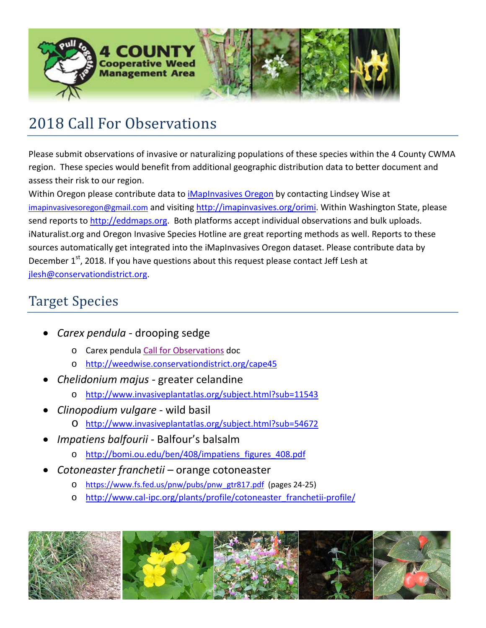

## 2018 Call For Observations

Please submit observations of invasive or naturalizing populations of these species within the 4 County CWMA region. These species would benefit from additional geographic distribution data to better document and assess their risk to our region.

Within Oregon please contribute data to *iMapInvasives Oregon* by contacting Lindsey Wise at [imapinvasivesoregon@gmail.com](mailto:imapinvasivesoregon@gmail.com) and visiting [http://imapinvasives.org/orimi.](http://imapinvasives.org/orimi) Within Washington State, please send reports to [http://eddmaps.org.](http://eddmaps.org/) Both platforms accept individual observations and bulk uploads. iNaturalist.org and Oregon Invasive Species Hotline are great reporting methods as well. Reports to these sources automatically get integrated into the iMapInvasives Oregon dataset. Please contribute data by December 1<sup>st</sup>, 2018. If you have questions about this request please contact Jeff Lesh at [jlesh@conservationdistrict.org.](mailto:jlesh@conservationdistrict.org)

## Target Species

- *Carex pendula* drooping sedge
	- o Carex pendul[a Call for Observations](http://www.polkswcd.com/uploads/5/1/7/5/51756011/carex_pendula_call_for_observations.pdf) doc
	- o <http://weedwise.conservationdistrict.org/cape45>
- *Chelidonium majus* greater celandine
	- o <http://www.invasiveplantatlas.org/subject.html?sub=11543>
- *Clinopodium vulgare* wild basil
	- o <http://www.invasiveplantatlas.org/subject.html?sub=54672>
- *Impatiens balfourii* Balfour's balsalm
	- o [http://bomi.ou.edu/ben/408/impatiens\\_figures\\_408.pdf](http://bomi.ou.edu/ben/408/impatiens_figures_408.pdf)
- *Cotoneaster franchetii* orange cotoneaster
	- o [https://www.fs.fed.us/pnw/pubs/pnw\\_gtr817.pdf](https://www.fs.fed.us/pnw/pubs/pnw_gtr817.pdf) (pages 24-25)
	- o [http://www.cal-ipc.org/plants/profile/cotoneaster\\_franchetii-profile/](http://www.cal-ipc.org/plants/profile/cotoneaster_franchetii-profile/)